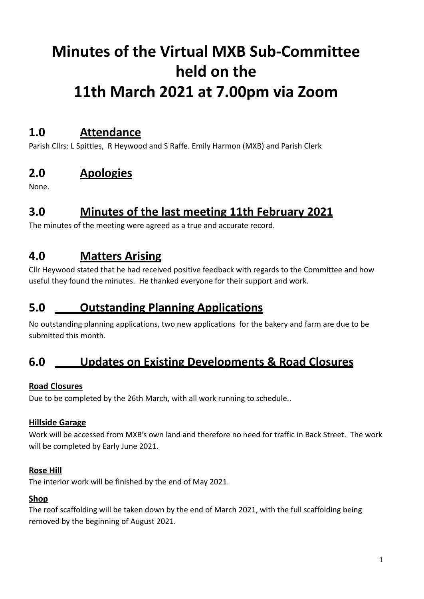# **Minutes of the Virtual MXB Sub-Committee held on the 11th March 2021 at 7.00pm via Zoom**

## **1.0 Attendance**

Parish Cllrs: L Spittles, R Heywood and S Raffe. Emily Harmon (MXB) and Parish Clerk

# **2.0 Apologies**

None.

# **3.0 Minutes of the last meeting 11th February 2021**

The minutes of the meeting were agreed as a true and accurate record.

# **4.0 Matters Arising**

Cllr Heywood stated that he had received positive feedback with regards to the Committee and how useful they found the minutes. He thanked everyone for their support and work.

## **5.0 Outstanding Planning Applications**

No outstanding planning applications, two new applications for the bakery and farm are due to be submitted this month.

# **6.0 Updates on Existing Developments & Road Closures**

#### **Road Closures**

Due to be completed by the 26th March, with all work running to schedule..

#### **Hillside Garage**

Work will be accessed from MXB's own land and therefore no need for traffic in Back Street. The work will be completed by Early June 2021.

#### **Rose Hill**

The interior work will be finished by the end of May 2021.

#### **Shop**

The roof scaffolding will be taken down by the end of March 2021, with the full scaffolding being removed by the beginning of August 2021.